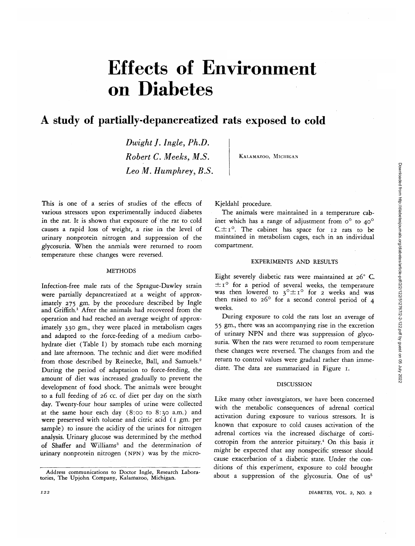# Effects of Environment on Diabetes

# A study of partially-depancreatized rats exposed to cold

*Dwight J. Ingle, Ph.D. Robert C. Meeks, M.S. Leo M. Humphrey, B.S.*

KALAMAZOO, MICHIGAN

This is one of a series of studies of the effects of various stressors upon experimentally induced diabetes in the rat. It is shown that exposure of the rat to cold causes a rapid loss of weight, a rise in the level of urinary nonprotein nitrogen and suppression of the glycosuria. When the anmials were returned to room temperature these changes were reversed.

#### **METHODS**

Infection-free male rats of the Sprague-Dawley strain were partially depancreatized at a weight of approximately 275 gm. by the procedure described by Ingle and Griffith.<sup>1</sup> After the animals had recovered from the operation and had reached an average weight of approximately 330 gm., they were placed in metabolism cages and adapted to the force-feeding of a medium carbohydrate diet (Table I) by stomach tube each morning and late afternoon. The technic and diet were modified from those described by Reinecke, Ball, and Samuels.<sup>2</sup> During the peiiod of adaptation to force-feeding, the amount of diet was increased gradually to prevent the development of food shock. The animals were brought to a full feeding of 26 cc. of diet per day on the sixth day. Twenty-four hour samples of urine were collected at the same hour each day (8:00 to 8:30 a.m.) and were preserved with toluene and citric acid (1 gm. per sample) to insure the acidity of the urines for nitrogen analysis. Urinary glucose was determined by the method of Shaffer and Williams<sup>3</sup> and the determination of urinary nonprotein nitrogen (NPN) was by the microKjeldahl procedure.

The animals were maintained in a temperature cabinet which has a range of adjustment from  $o^{\circ}$  to  $40^{\circ}$  $C_{\text{u}}\pm i^{\circ}$ . The cabinet has space for 12 rats to be maintained in metabolism cages, each in an individual compartment.

### EXPERIMENTS AND RESULTS

Eight severely diabetic rats were maintained at 26° C.  $\pm$  1° for a period of several weeks, the temperature was then lowered to  $3^\circ \pm 1^\circ$  for 2 weeks and was then raised to 26° for a second control period of 4 weeks.

During exposure to cold the rats lost an average of 55 gm., there was an accompanying rise in the excretion of urinary NPN and there was suppression of glycosuria. When the rats were returned to room temperature these changes were reversed. The changes from and the return to control values were gradual rather than immediate. The data are summarized in Figure 1.

#### **DISCUSSION**

Like many other investgiators, we have been concerned with the metabolic consequences of adrenal cortical activation during exposure to various stressors. It is known that exposure to cold causes activation of the adrenal cortices via the increased discharge of corticotropin from the anterior pituitary.<sup>4</sup> On this basis it *might* be expected that any nonspecific stressor should cause exacerbation of a diabetic state. Under the conditions of this experiment, exposure to cold brought about a suppression of the glycosuria. One of us<sup>5</sup>

Address communications to Doctor Ingle, Research Labora- tories, The Upjohn Company, Kalamazoo, Michigan.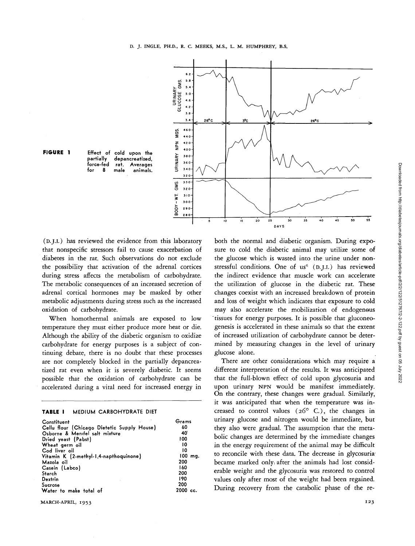



partially depancreatized, force-fed rat. Averages animals.

(D.J.I.) has reviewed the evidence from this laboratory that nonspecific stressors fail to cause exacerbation of diabetes in the rat. Such observations do not exclude the possibility that activation of the adrenal cortices during stress affects the metabolism of carbohydrate. The metabolic consequences of an increased secretion of adrenal cortical hormones may be masked by other metabolic adjustments during stress such as the increased oxidation of carbohydrate.

When homothermal animals are exposed to low temperature they must either produce more heat or die. Although the ability of the diabetic organism to oxidize carbohydrate for energy purposes is a subject of continuing debate, there is no doubt that these processes are not completely blocked in the partially depancreatized rat even when it is severely diabetic. It seems possible that the oxidation of carbohydrate can be accelerated during a vital need for increased energy in

|  | TABLE I |  |  | MEDIUM CARBOHYDRATE DIET |  |
|--|---------|--|--|--------------------------|--|
|--|---------|--|--|--------------------------|--|

| Constituent<br>Cellu flour (Chicago Dietetic Supply House)<br>Osborne & Mendel salt mixture<br>Dried yeast (Pabst)<br>Wheat germ oil<br>Cod liver oil<br>Vitamin K (2-methyl-1,4-napthoquinone)<br>Mazola oil<br>Casein (Labco)<br>Starch<br>Dextrin | Grams<br>60<br>40<br>100<br>10<br>10<br>100<br>ma.<br>200<br>160<br>200<br>190 |
|------------------------------------------------------------------------------------------------------------------------------------------------------------------------------------------------------------------------------------------------------|--------------------------------------------------------------------------------|
| Sucrose                                                                                                                                                                                                                                              | 200                                                                            |
| Water to make total of                                                                                                                                                                                                                               | $2000 \text{ cc.}$                                                             |

MARCH-APRIL, 1953 123

both the normal and diabetic organism. During exposure to cold the diabetic animal may utilize some of the glucose which is wasted into the urine under nonstressful conditions. One of us<sup>6</sup> (D.J.L.) has reviewed the indirect evidence that muscle work can accelerate the utilization of glucose in the diabetic rat. These changes coexist with an increased breakdown of protein and loss of weight which indicates that exposure to cold may also accelerate the mobilization of endogenous 'tissues for energy purposes. It is possible that gluconeogenesis is accelerated in these animals so that the extent of increased utilization of carbohydrate cannot be determined by measuring changes in the level of urinary glucose alone.

There are other considerations which may require a different interpretation of the results. It was anticipated that the full-blown effect of cold upon glycosuria and upon urinary NPN would be manifest immediately. On the contrary, these changes were gradual. Similarly, it was anticipated that when the temperature was increased to control values  $(26^{\circ} \text{ C.})$ , the changes in urinary glucose and nitrogen would be immediate, but they also were gradual. The assumption that the metabolic changes are determined by the immediate changes in the energy requirement of the animal may be difficult to reconcile with these data. The decrease in glycosuria became marked onlyi after the animals had lost considerable weight and the glycosuria was restored to control values only after most of the weight had been regained. During recovery from the catabolic phase of the re